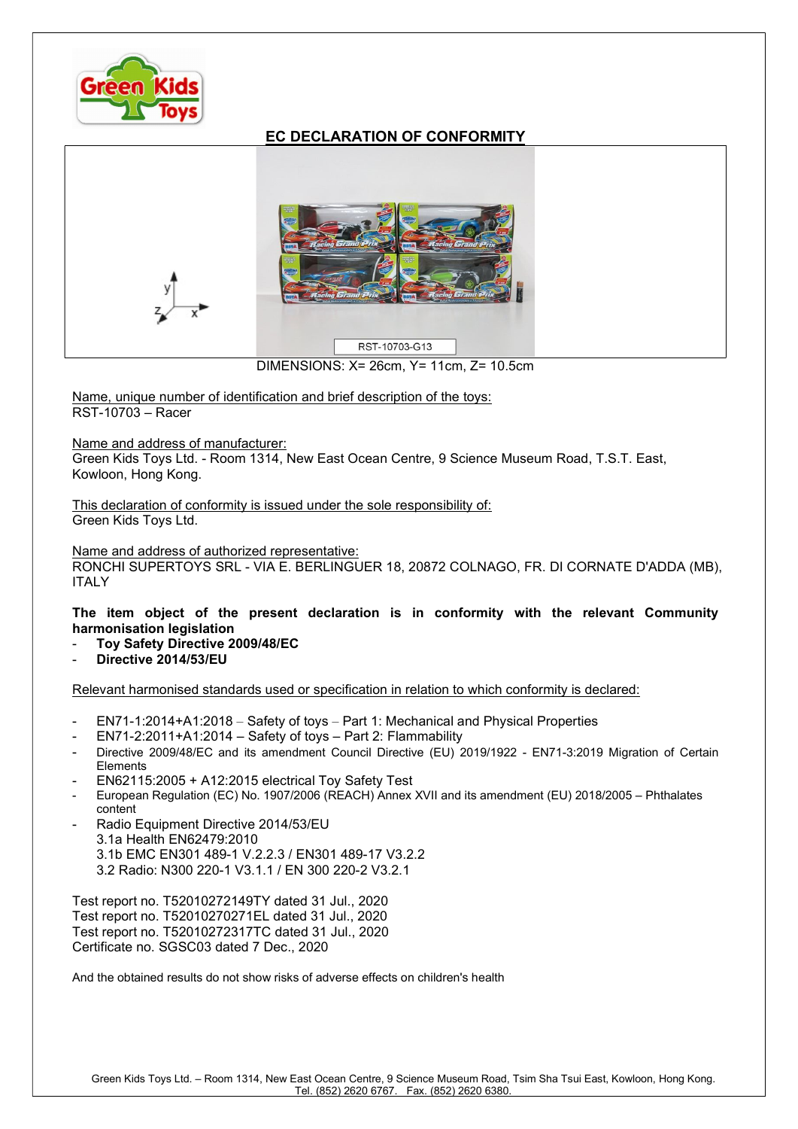

## EC DECLARATION OF CONFORMITY



DIMENSIONS: X= 26cm, Y= 11cm, Z= 10.5cm

Name, unique number of identification and brief description of the toys: RST-10703 – Racer

Name and address of manufacturer:

Green Kids Toys Ltd. - Room 1314, New East Ocean Centre, 9 Science Museum Road, T.S.T. East, Kowloon, Hong Kong.

This declaration of conformity is issued under the sole responsibility of: Green Kids Toys Ltd.

Name and address of authorized representative:

RONCHI SUPERTOYS SRL - VIA E. BERLINGUER 18, 20872 COLNAGO, FR. DI CORNATE D'ADDA (MB), ITALY

The item object of the present declaration is in conformity with the relevant Community harmonisation legislation

- Tov Safety Directive 2009/48/EC
- Directive 2014/53/EU

Relevant harmonised standards used or specification in relation to which conformity is declared:

- EN71-1:2014+A1:2018 Safety of toys Part 1: Mechanical and Physical Properties
- $EN71-2:2011+A1:2014 Safety of toys Part 2: Flammability$
- Directive 2009/48/EC and its amendment Council Directive (EU) 2019/1922 EN71-3:2019 Migration of Certain **Elements**
- EN62115:2005 + A12:2015 electrical Toy Safety Test
- European Regulation (EC) No. 1907/2006 (REACH) Annex XVII and its amendment (EU) 2018/2005 Phthalates content
- Radio Equipment Directive 2014/53/EU 3.1a Health EN62479:2010 3.1b EMC EN301 489-1 V.2.2.3 / EN301 489-17 V3.2.2 3.2 Radio: N300 220-1 V3.1.1 / EN 300 220-2 V3.2.1

Test report no. T52010272149TY dated 31 Jul., 2020 Test report no. T52010270271EL dated 31 Jul., 2020 Test report no. T52010272317TC dated 31 Jul., 2020 Certificate no. SGSC03 dated 7 Dec., 2020

And the obtained results do not show risks of adverse effects on children's health